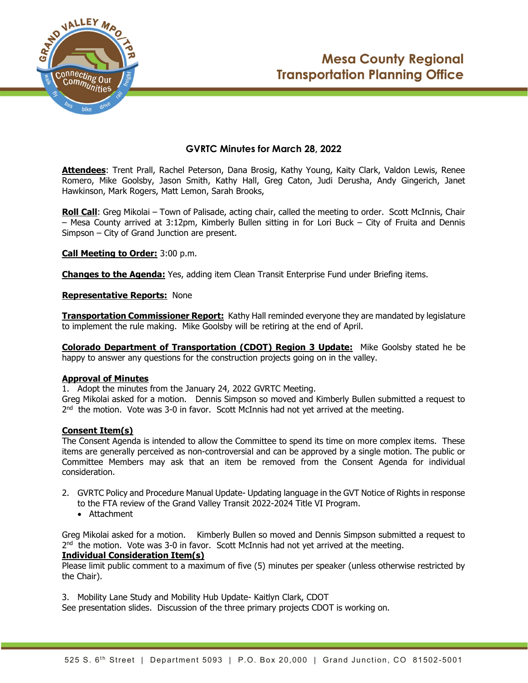



# GVRTC Minutes for March 28, 2022

Attendees: Trent Prall, Rachel Peterson, Dana Brosig, Kathy Young, Kaity Clark, Valdon Lewis, Renee Romero, Mike Goolsby, Jason Smith, Kathy Hall, Greg Caton, Judi Derusha, Andy Gingerich, Janet Hawkinson, Mark Rogers, Matt Lemon, Sarah Brooks,

**Roll Call:** Greg Mikolai – Town of Palisade, acting chair, called the meeting to order. Scott McInnis, Chair – Mesa County arrived at 3:12pm, Kimberly Bullen sitting in for Lori Buck – City of Fruita and Dennis Simpson – City of Grand Junction are present.

Call Meeting to Order: 3:00 p.m.

Changes to the Agenda: Yes, adding item Clean Transit Enterprise Fund under Briefing items.

Representative Reports: None

**Transportation Commissioner Report:** Kathy Hall reminded everyone they are mandated by legislature to implement the rule making. Mike Goolsby will be retiring at the end of April.

Colorado Department of Transportation (CDOT) Region 3 Update: Mike Goolsby stated he be happy to answer any questions for the construction projects going on in the valley.

#### Approval of Minutes

1. Adopt the minutes from the January 24, 2022 GVRTC Meeting.

Greg Mikolai asked for a motion. Dennis Simpson so moved and Kimberly Bullen submitted a request to  $2^{nd}$  the motion. Vote was 3-0 in favor. Scott McInnis had not yet arrived at the meeting.

### Consent Item(s)

The Consent Agenda is intended to allow the Committee to spend its time on more complex items. These items are generally perceived as non-controversial and can be approved by a single motion. The public or Committee Members may ask that an item be removed from the Consent Agenda for individual consideration.

- 2. GVRTC Policy and Procedure Manual Update- Updating language in the GVT Notice of Rights in response to the FTA review of the Grand Valley Transit 2022-2024 Title VI Program.
	- Attachment

Greg Mikolai asked for a motion. Kimberly Bullen so moved and Dennis Simpson submitted a request to  $2^{nd}$  the motion. Vote was 3-0 in favor. Scott McInnis had not yet arrived at the meeting.

### Individual Consideration Item(s)

Please limit public comment to a maximum of five (5) minutes per speaker (unless otherwise restricted by the Chair).

3. Mobility Lane Study and Mobility Hub Update- Kaitlyn Clark, CDOT

See presentation slides. Discussion of the three primary projects CDOT is working on.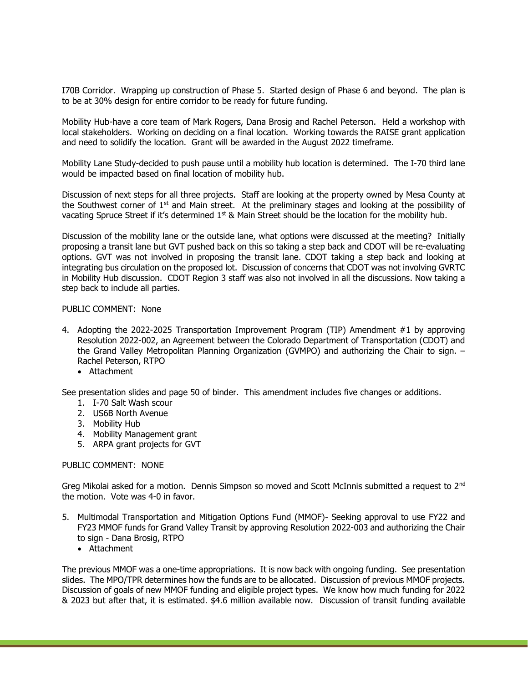I70B Corridor. Wrapping up construction of Phase 5. Started design of Phase 6 and beyond. The plan is to be at 30% design for entire corridor to be ready for future funding.

Mobility Hub-have a core team of Mark Rogers, Dana Brosig and Rachel Peterson. Held a workshop with local stakeholders. Working on deciding on a final location. Working towards the RAISE grant application and need to solidify the location. Grant will be awarded in the August 2022 timeframe.

Mobility Lane Study-decided to push pause until a mobility hub location is determined. The I-70 third lane would be impacted based on final location of mobility hub.

Discussion of next steps for all three projects. Staff are looking at the property owned by Mesa County at the Southwest corner of 1st and Main street. At the preliminary stages and looking at the possibility of vacating Spruce Street if it's determined  $1<sup>st</sup>$  & Main Street should be the location for the mobility hub.

Discussion of the mobility lane or the outside lane, what options were discussed at the meeting? Initially proposing a transit lane but GVT pushed back on this so taking a step back and CDOT will be re-evaluating options. GVT was not involved in proposing the transit lane. CDOT taking a step back and looking at integrating bus circulation on the proposed lot. Discussion of concerns that CDOT was not involving GVRTC in Mobility Hub discussion. CDOT Region 3 staff was also not involved in all the discussions. Now taking a step back to include all parties.

#### PUBLIC COMMENT: None

- 4. Adopting the 2022-2025 Transportation Improvement Program (TIP) Amendment #1 by approving Resolution 2022-002, an Agreement between the Colorado Department of Transportation (CDOT) and the Grand Valley Metropolitan Planning Organization (GVMPO) and authorizing the Chair to sign. – Rachel Peterson, RTPO
	- Attachment

See presentation slides and page 50 of binder. This amendment includes five changes or additions.

- 1. I-70 Salt Wash scour
- 2. US6B North Avenue
- 3. Mobility Hub
- 4. Mobility Management grant
- 5. ARPA grant projects for GVT

#### PUBLIC COMMENT: NONE

Greg Mikolai asked for a motion. Dennis Simpson so moved and Scott McInnis submitted a request to 2<sup>nd</sup> the motion. Vote was 4-0 in favor.

- 5. Multimodal Transportation and Mitigation Options Fund (MMOF)- Seeking approval to use FY22 and FY23 MMOF funds for Grand Valley Transit by approving Resolution 2022-003 and authorizing the Chair to sign - Dana Brosig, RTPO
	- Attachment

The previous MMOF was a one-time appropriations. It is now back with ongoing funding. See presentation slides. The MPO/TPR determines how the funds are to be allocated. Discussion of previous MMOF projects. Discussion of goals of new MMOF funding and eligible project types. We know how much funding for 2022 & 2023 but after that, it is estimated. \$4.6 million available now. Discussion of transit funding available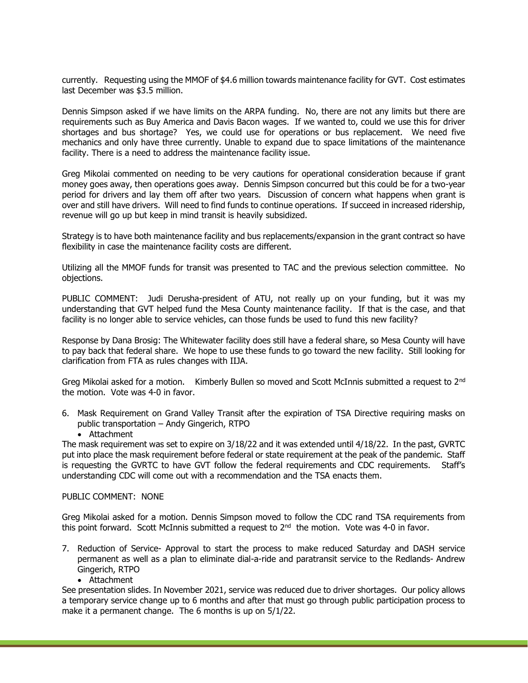currently. Requesting using the MMOF of \$4.6 million towards maintenance facility for GVT. Cost estimates last December was \$3.5 million.

Dennis Simpson asked if we have limits on the ARPA funding. No, there are not any limits but there are requirements such as Buy America and Davis Bacon wages. If we wanted to, could we use this for driver shortages and bus shortage? Yes, we could use for operations or bus replacement. We need five mechanics and only have three currently. Unable to expand due to space limitations of the maintenance facility. There is a need to address the maintenance facility issue.

Greg Mikolai commented on needing to be very cautions for operational consideration because if grant money goes away, then operations goes away. Dennis Simpson concurred but this could be for a two-year period for drivers and lay them off after two years. Discussion of concern what happens when grant is over and still have drivers. Will need to find funds to continue operations. If succeed in increased ridership, revenue will go up but keep in mind transit is heavily subsidized.

Strategy is to have both maintenance facility and bus replacements/expansion in the grant contract so have flexibility in case the maintenance facility costs are different.

Utilizing all the MMOF funds for transit was presented to TAC and the previous selection committee. No objections.

PUBLIC COMMENT: Judi Derusha-president of ATU, not really up on your funding, but it was my understanding that GVT helped fund the Mesa County maintenance facility. If that is the case, and that facility is no longer able to service vehicles, can those funds be used to fund this new facility?

Response by Dana Brosig: The Whitewater facility does still have a federal share, so Mesa County will have to pay back that federal share. We hope to use these funds to go toward the new facility. Still looking for clarification from FTA as rules changes with IIJA.

Greg Mikolai asked for a motion. Kimberly Bullen so moved and Scott McInnis submitted a request to 2<sup>nd</sup> the motion. Vote was 4-0 in favor.

- 6. Mask Requirement on Grand Valley Transit after the expiration of TSA Directive requiring masks on public transportation – Andy Gingerich, RTPO
	- Attachment

The mask requirement was set to expire on 3/18/22 and it was extended until 4/18/22. In the past, GVRTC put into place the mask requirement before federal or state requirement at the peak of the pandemic. Staff is requesting the GVRTC to have GVT follow the federal requirements and CDC requirements. Staff's understanding CDC will come out with a recommendation and the TSA enacts them.

#### PUBLIC COMMENT: NONE

Greg Mikolai asked for a motion. Dennis Simpson moved to follow the CDC rand TSA requirements from this point forward. Scott McInnis submitted a request to  $2<sup>nd</sup>$  the motion. Vote was 4-0 in favor.

- 7. Reduction of Service- Approval to start the process to make reduced Saturday and DASH service permanent as well as a plan to eliminate dial-a-ride and paratransit service to the Redlands- Andrew Gingerich, RTPO
	- Attachment

See presentation slides. In November 2021, service was reduced due to driver shortages. Our policy allows a temporary service change up to 6 months and after that must go through public participation process to make it a permanent change. The 6 months is up on 5/1/22.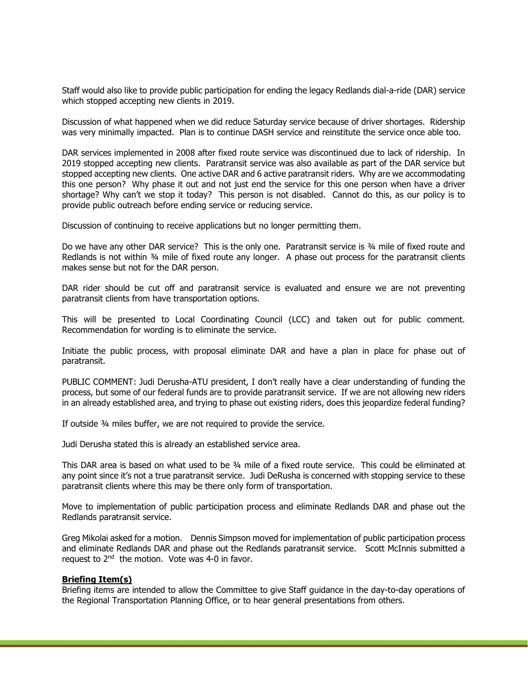Staff would also like to provide public participation for ending the legacy Redlands dial-a-ride (DAR) service which stopped accepting new clients in 2019.

Discussion of what happened when we did reduce Saturday service because of driver shortages. Ridership was very minimally impacted. Plan is to continue DASH service and reinstitute the service once able too.

DAR services implemented in 2008 after fixed route service was discontinued due to lack of ridership. In 2019 stopped accepting new clients. Paratransit service was also available as part of the DAR service but stopped accepting new clients. One active DAR and 6 active paratransit riders. Why are we accommodating this one person? Why phase it out and not just end the service for this one person when have a driver shortage? Why can't we stop it today? This person is not disabled. Cannot do this, as our policy is to provide public outreach before ending service or reducing service.

Discussion of continuing to receive applications but no longer permitting them.

Do we have any other DAR service? This is the only one. Paratransit service is ¾ mile of fixed route and Redlands is not within 34 mile of fixed route any longer. A phase out process for the paratransit clients makes sense but not for the DAR person.

DAR rider should be cut off and paratransit service is evaluated and ensure we are not preventing paratransit clients from have transportation options.

This will be presented to Local Coordinating Council (LCC) and taken out for public comment. Recommendation for wording is to eliminate the service.

Initiate the public process, with proposal eliminate DAR and have a plan in place for phase out of paratransit.

PUBLIC COMMENT: Judi Derusha-ATU president, I don't really have a clear understanding of funding the process, but some of our federal funds are to provide paratransit service. If we are not allowing new riders in an already established area, and trying to phase out existing riders, does this jeopardize federal funding?

If outside ¾ miles buffer, we are not required to provide the service.

Judi Derusha stated this is already an established service area.

This DAR area is based on what used to be ¾ mile of a fixed route service. This could be eliminated at any point since it's not a true paratransit service. Judi DeRusha is concerned with stopping service to these paratransit clients where this may be there only form of transportation.

Move to implementation of public participation process and eliminate Redlands DAR and phase out the Redlands paratransit service.

Greg Mikolai asked for a motion. Dennis Simpson moved for implementation of public participation process and eliminate Redlands DAR and phase out the Redlands paratransit service. Scott McInnis submitted a request to  $2<sup>nd</sup>$  the motion. Vote was 4-0 in favor.

#### Briefing Item(s)

Briefing items are intended to allow the Committee to give Staff guidance in the day-to-day operations of the Regional Transportation Planning Office, or to hear general presentations from others.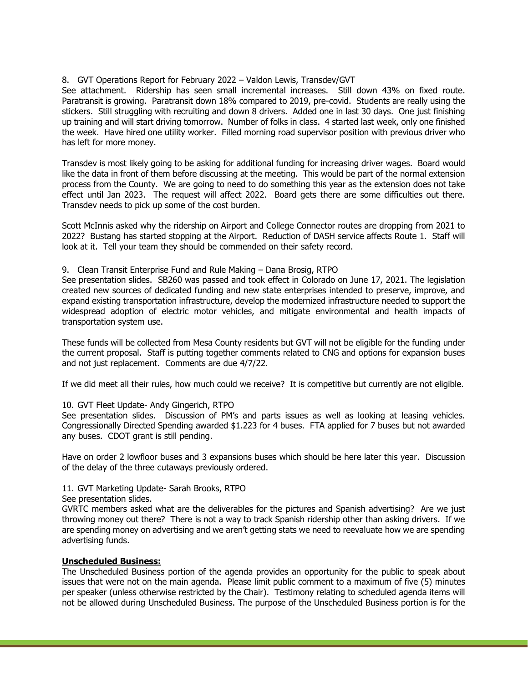# 8. GVT Operations Report for February 2022 – Valdon Lewis, Transdev/GVT

See attachment. Ridership has seen small incremental increases. Still down 43% on fixed route. Paratransit is growing. Paratransit down 18% compared to 2019, pre-covid. Students are really using the stickers. Still struggling with recruiting and down 8 drivers. Added one in last 30 days. One just finishing up training and will start driving tomorrow. Number of folks in class. 4 started last week, only one finished the week. Have hired one utility worker. Filled morning road supervisor position with previous driver who has left for more money.

Transdev is most likely going to be asking for additional funding for increasing driver wages. Board would like the data in front of them before discussing at the meeting. This would be part of the normal extension process from the County. We are going to need to do something this year as the extension does not take effect until Jan 2023. The request will affect 2022. Board gets there are some difficulties out there. Transdev needs to pick up some of the cost burden.

Scott McInnis asked why the ridership on Airport and College Connector routes are dropping from 2021 to 2022? Bustang has started stopping at the Airport. Reduction of DASH service affects Route 1. Staff will look at it. Tell your team they should be commended on their safety record.

# 9. Clean Transit Enterprise Fund and Rule Making – Dana Brosig, RTPO

See presentation slides. SB260 was passed and took effect in Colorado on June 17, 2021. The legislation created new sources of dedicated funding and new state enterprises intended to preserve, improve, and expand existing transportation infrastructure, develop the modernized infrastructure needed to support the widespread adoption of electric motor vehicles, and mitigate environmental and health impacts of transportation system use.

These funds will be collected from Mesa County residents but GVT will not be eligible for the funding under the current proposal. Staff is putting together comments related to CNG and options for expansion buses and not just replacement. Comments are due 4/7/22.

If we did meet all their rules, how much could we receive? It is competitive but currently are not eligible.

#### 10. GVT Fleet Update- Andy Gingerich, RTPO

See presentation slides. Discussion of PM's and parts issues as well as looking at leasing vehicles. Congressionally Directed Spending awarded \$1.223 for 4 buses. FTA applied for 7 buses but not awarded any buses. CDOT grant is still pending.

Have on order 2 lowfloor buses and 3 expansions buses which should be here later this year. Discussion of the delay of the three cutaways previously ordered.

# 11. GVT Marketing Update- Sarah Brooks, RTPO

See presentation slides.

GVRTC members asked what are the deliverables for the pictures and Spanish advertising? Are we just throwing money out there? There is not a way to track Spanish ridership other than asking drivers. If we are spending money on advertising and we aren't getting stats we need to reevaluate how we are spending advertising funds.

# Unscheduled Business:

The Unscheduled Business portion of the agenda provides an opportunity for the public to speak about issues that were not on the main agenda. Please limit public comment to a maximum of five (5) minutes per speaker (unless otherwise restricted by the Chair). Testimony relating to scheduled agenda items will not be allowed during Unscheduled Business. The purpose of the Unscheduled Business portion is for the